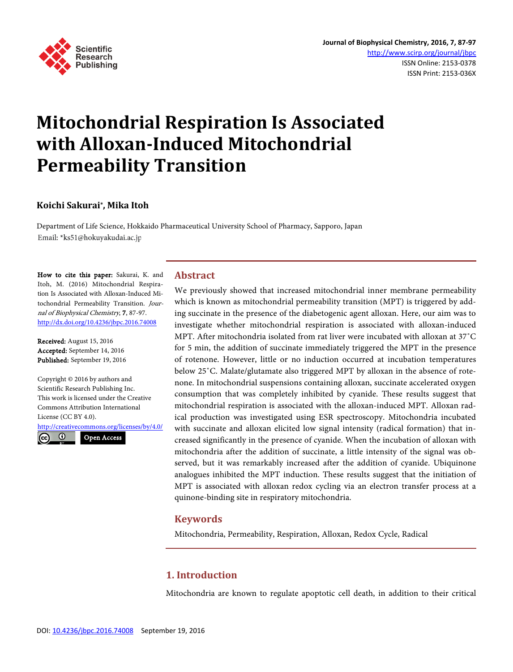

# **Mitochondrial Respiration Is Associated with Alloxan-Induced Mitochondrial Permeability Transition**

# **Koichi Sakurai\*, Mika Itoh**

Department of Life Science, Hokkaido Pharmaceutical University School of Pharmacy, Sapporo, Japan Email: \*ks51@hokuyakudai.ac.jp

How to cite this paper: Sakurai, K. and Itoh, M. (2016) Mitochondrial Respiration Is Associated with Alloxan-Induced Mitochondrial Permeability Transition. Journal of Biophysical Chemistry, 7, 87-97. <http://dx.doi.org/10.4236/jbpc.2016.74008>

Received: August 15, 2016 Accepted: September 14, 2016 Published: September 19, 2016

Copyright © 2016 by authors and Scientific Research Publishing Inc. This work is licensed under the Creative Commons Attribution International License (CC BY 4.0).

<http://creativecommons.org/licenses/by/4.0/>  $\odot$ Open Access $(cc)$ 

## **Abstract**

We previously showed that increased mitochondrial inner membrane permeability which is known as mitochondrial permeability transition (MPT) is triggered by adding succinate in the presence of the diabetogenic agent alloxan. Here, our aim was to investigate whether mitochondrial respiration is associated with alloxan-induced MPT. After mitochondria isolated from rat liver were incubated with alloxan at 37˚C for 5 min, the addition of succinate immediately triggered the MPT in the presence of rotenone. However, little or no induction occurred at incubation temperatures below 25˚C. Malate/glutamate also triggered MPT by alloxan in the absence of rotenone. In mitochondrial suspensions containing alloxan, succinate accelerated oxygen consumption that was completely inhibited by cyanide. These results suggest that mitochondrial respiration is associated with the alloxan-induced MPT. Alloxan radical production was investigated using ESR spectroscopy. Mitochondria incubated with succinate and alloxan elicited low signal intensity (radical formation) that increased significantly in the presence of cyanide. When the incubation of alloxan with mitochondria after the addition of succinate, a little intensity of the signal was observed, but it was remarkably increased after the addition of cyanide. Ubiquinone analogues inhibited the MPT induction. These results suggest that the initiation of MPT is associated with alloxan redox cycling via an electron transfer process at a quinone-binding site in respiratory mitochondria.

## **Keywords**

Mitochondria, Permeability, Respiration, Alloxan, Redox Cycle, Radical

# **1. Introduction**

Mitochondria are known to regulate apoptotic cell death, in addition to their critical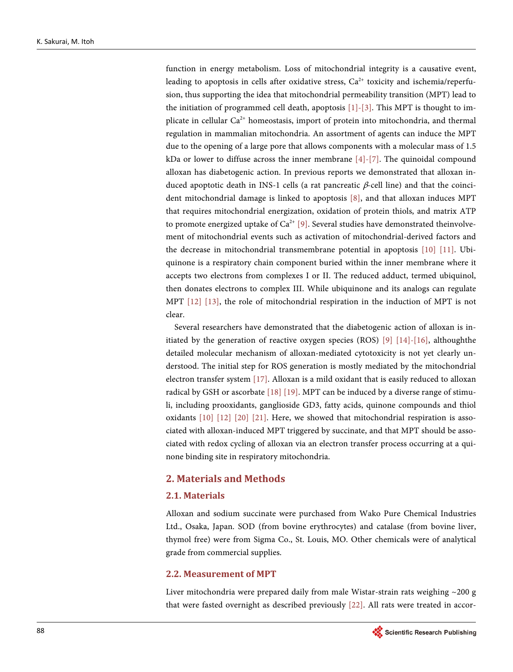function in energy metabolism. Loss of mitochondrial integrity is a causative event, leading to apoptosis in cells after oxidative stress,  $Ca<sup>2+</sup>$  toxicity and ischemia/reperfusion, thus supporting the idea that mitochondrial permeability transition (MPT) lead to the initiation of programmed cell death, apoptosis [\[1\]](#page-8-0)[-\[3\].](#page-8-1) This MPT is thought to implicate in cellular  $Ca^{2+}$  homeostasis, import of protein into mitochondria, and thermal regulation in mammalian mitochondria. An assortment of agents can induce the MPT due to the opening of a large pore that allows components with a molecular mass of 1.5 kDa or lower to diffuse across the inner membrane  $[4]-[7]$ . The quinoidal compound alloxan has diabetogenic action. In previous reports we demonstrated that alloxan induced apoptotic death in INS-1 cells (a rat pancreatic β-cell line) and that the coincident mitochondrial damage is linked to apoptosis  $[8]$ , and that alloxan induces MPT that requires mitochondrial energization, oxidation of protein thiols, and matrix ATP to promote energized uptake of  $Ca^{2+}$  [\[9\].](#page-9-2) Several studies have demonstrated theinvolvement of mitochondrial events such as activation of mitochondrial-derived factors and the decrease in mitochondrial transmembrane potential in apoptosis [\[10\]](#page-9-3) [\[11\].](#page-9-4) Ubiquinone is a respiratory chain component buried within the inner membrane where it accepts two electrons from complexes I or II. The reduced adduct, termed ubiquinol, then donates electrons to complex III. While ubiquinone and its analogs can regulate MPT [\[12\]](#page-9-5) [\[13\],](#page-9-6) the role of mitochondrial respiration in the induction of MPT is not clear.

Several researchers have demonstrated that the diabetogenic action of alloxan is initiated by the generation of reactive oxygen species (ROS)  $[9]$  [\[14\]-](#page-9-7)[\[16\],](#page-9-8) althoughthe detailed molecular mechanism of alloxan-mediated cytotoxicity is not yet clearly understood. The initial step for ROS generation is mostly mediated by the mitochondrial electron transfer system [\[17\].](#page-9-9) Alloxan is a mild oxidant that is easily reduced to alloxan radical by GSH or ascorbate [\[18\]](#page-10-0) [\[19\].](#page-10-1) MPT can be induced by a diverse range of stimuli, including prooxidants, ganglioside GD3, fatty acids, quinone compounds and thiol oxidants [\[10\]](#page-9-3) [\[12\]](#page-9-5) [\[20\]](#page-10-2) [\[21\].](#page-10-3) Here, we showed that mitochondrial respiration is associated with alloxan-induced MPT triggered by succinate, and that MPT should be associated with redox cycling of alloxan via an electron transfer process occurring at a quinone binding site in respiratory mitochondria.

# **2. Materials and Methods**

## **2.1. Materials**

Alloxan and sodium succinate were purchased from Wako Pure Chemical Industries Ltd., Osaka, Japan. SOD (from bovine erythrocytes) and catalase (from bovine liver, thymol free) were from Sigma Co., St. Louis, MO. Other chemicals were of analytical grade from commercial supplies.

#### **2.2. Measurement of MPT**

Liver mitochondria were prepared daily from male Wistar-strain rats weighing ~200 g that were fasted overnight as described previously [\[22\].](#page-10-4) All rats were treated in accor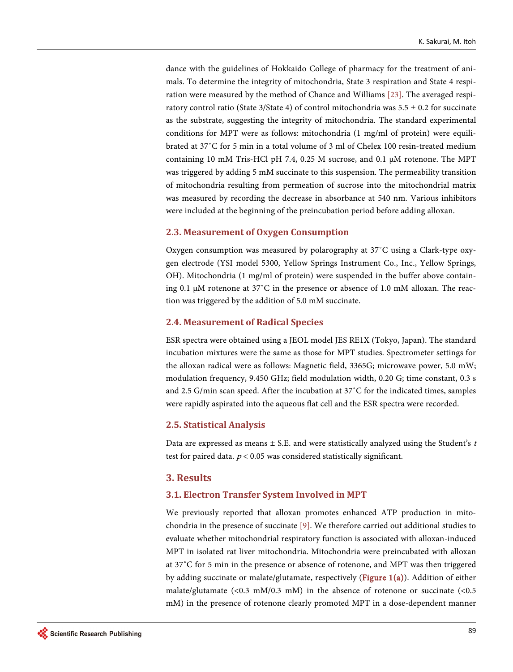dance with the guidelines of Hokkaido College of pharmacy for the treatment of animals. To determine the integrity of mitochondria, State 3 respiration and State 4 respiration were measured by the method of Chance and Williams [\[23\].](#page-10-5) The averaged respiratory control ratio (State 3/State 4) of control mitochondria was  $5.5 \pm 0.2$  for succinate as the substrate, suggesting the integrity of mitochondria. The standard experimental conditions for MPT were as follows: mitochondria (1 mg/ml of protein) were equilibrated at 37˚C for 5 min in a total volume of 3 ml of Chelex 100 resin-treated medium containing 10 mM Tris-HCl pH 7.4, 0.25 M sucrose, and 0.1 μM rotenone. The MPT was triggered by adding 5 mM succinate to this suspension. The permeability transition of mitochondria resulting from permeation of sucrose into the mitochondrial matrix was measured by recording the decrease in absorbance at 540 nm. Various inhibitors were included at the beginning of the preincubation period before adding alloxan.

#### **2.3. Measurement of Oxygen Consumption**

Oxygen consumption was measured by polarography at 37˚C using a Clark-type oxygen electrode (YSI model 5300, Yellow Springs Instrument Co., Inc., Yellow Springs, OH). Mitochondria (1 mg/ml of protein) were suspended in the buffer above containing 0.1 μM rotenone at 37˚C in the presence or absence of 1.0 mM alloxan. The reaction was triggered by the addition of 5.0 mM succinate.

#### **2.4. Measurement of Radical Species**

ESR spectra were obtained using a JEOL model JES RE1X (Tokyo, Japan). The standard incubation mixtures were the same as those for MPT studies. Spectrometer settings for the alloxan radical were as follows: Magnetic field, 3365G; microwave power, 5.0 mW; modulation frequency, 9.450 GHz; field modulation width, 0.20 G; time constant, 0.3 s and 2.5 G/min scan speed. After the incubation at 37˚C for the indicated times, samples were rapidly aspirated into the aqueous flat cell and the ESR spectra were recorded.

#### **2.5. Statistical Analysis**

Data are expressed as means  $\pm$  S.E. and were statistically analyzed using the Student's t test for paired data.  $p < 0.05$  was considered statistically significant.

#### **3. Results**

#### **3.1. Electron Transfer System Involved in MPT**

We previously reported that alloxan promotes enhanced ATP production in mitochondria in the presence of succinate [\[9\].](#page-9-2) We therefore carried out additional studies to evaluate whether mitochondrial respiratory function is associated with alloxan-induced MPT in isolated rat liver mitochondria. Mitochondria were preincubated with alloxan at 37˚C for 5 min in the presence or absence of rotenone, and MPT was then triggered by adding succinate or malate/glutamate, respectively (Figure  $1(a)$ ). Addition of either malate/glutamate  $(<0.3 \, \text{m}$ M/0.3 mM) in the absence of rotenone or succinate  $(<0.5 \, \text{m}$ mM) in the presence of rotenone clearly promoted MPT in a dose-dependent manner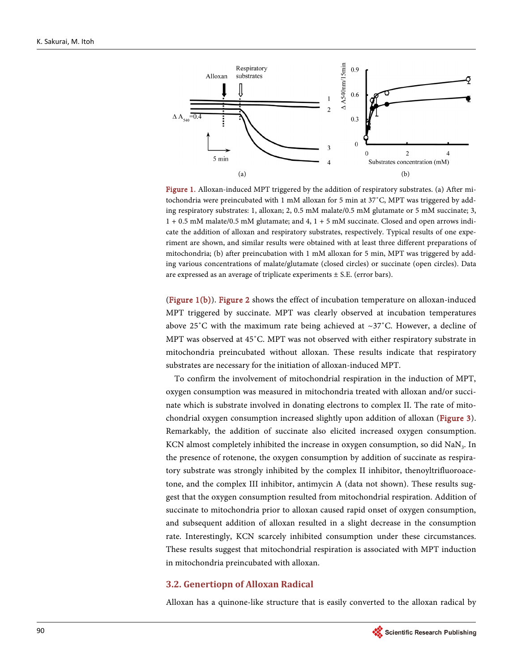<span id="page-3-0"></span>

Figure 1. Alloxan-induced MPT triggered by the addition of respiratory substrates. (a) After mitochondria were preincubated with 1 mM alloxan for 5 min at 37˚C, MPT was triggered by adding respiratory substrates: 1, alloxan; 2, 0.5 mM malate/0.5 mM glutamate or 5 mM succinate; 3, 1 + 0.5 mM malate/0.5 mM glutamate; and 4, 1 + 5 mM succinate. Closed and open arrows indicate the addition of alloxan and respiratory substrates, respectively. Typical results of one experiment are shown, and similar results were obtained with at least three different preparations of mitochondria; (b) after preincubation with 1 mM alloxan for 5 min, MPT was triggered by adding various concentrations of malate/glutamate (closed circles) or succinate (open circles). Data are expressed as an average of triplicate experiments  $\pm$  S.E. (error bars).

[\(Figure 1\(b\)\)](#page-3-0). [Figure 2](#page-4-0) shows the effect of incubation temperature on alloxan-induced MPT triggered by succinate. MPT was clearly observed at incubation temperatures above 25°C with the maximum rate being achieved at  $\sim$ 37°C. However, a decline of MPT was observed at 45˚C. MPT was not observed with either respiratory substrate in mitochondria preincubated without alloxan. These results indicate that respiratory substrates are necessary for the initiation of alloxan-induced MPT.

To confirm the involvement of mitochondrial respiration in the induction of MPT, oxygen consumption was measured in mitochondria treated with alloxan and/or succinate which is substrate involved in donating electrons to complex II. The rate of mitochondrial oxygen consumption increased slightly upon addition of alloxan [\(Figure 3\)](#page-4-1). Remarkably, the addition of succinate also elicited increased oxygen consumption. KCN almost completely inhibited the increase in oxygen consumption, so did NaN<sub>3</sub>. In the presence of rotenone, the oxygen consumption by addition of succinate as respiratory substrate was strongly inhibited by the complex II inhibitor, thenoyltrifluoroacetone, and the complex III inhibitor, antimycin A (data not shown). These results suggest that the oxygen consumption resulted from mitochondrial respiration. Addition of succinate to mitochondria prior to alloxan caused rapid onset of oxygen consumption, and subsequent addition of alloxan resulted in a slight decrease in the consumption rate. Interestingly, KCN scarcely inhibited consumption under these circumstances. These results suggest that mitochondrial respiration is associated with MPT induction in mitochondria preincubated with alloxan.

#### **3.2. Genertiopn of Alloxan Radical**

Alloxan has a quinone-like structure that is easily converted to the alloxan radical by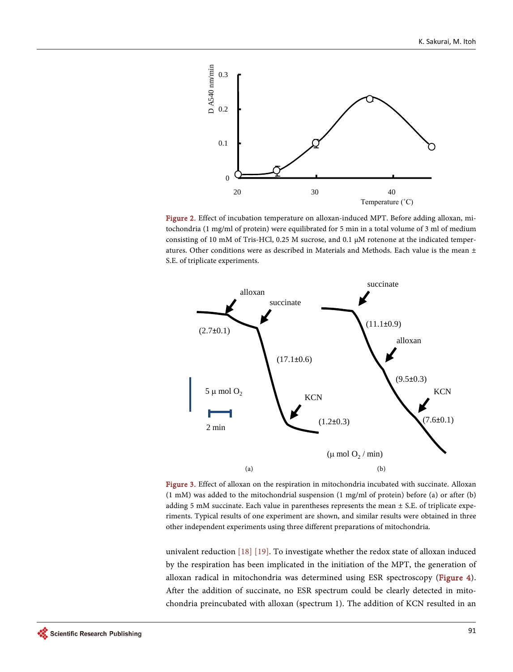<span id="page-4-0"></span>

<span id="page-4-1"></span>Figure 2. Effect of incubation temperature on alloxan-induced MPT. Before adding alloxan, mitochondria (1 mg/ml of protein) were equilibrated for 5 min in a total volume of 3 ml of medium consisting of 10 mM of Tris-HCl, 0.25 M sucrose, and 0.1 μM rotenone at the indicated temperatures. Other conditions were as described in Materials and Methods. Each value is the mean ± S.E. of triplicate experiments.



Figure 3. Effect of alloxan on the respiration in mitochondria incubated with succinate. Alloxan (1 mM) was added to the mitochondrial suspension (1 mg/ml of protein) before (a) or after (b) adding 5 mM succinate. Each value in parentheses represents the mean  $\pm$  S.E. of triplicate experiments. Typical results of one experiment are shown, and similar results were obtained in three other independent experiments using three different preparations of mitochondria.

univalent reduction [\[18\]](#page-10-0) [\[19\].](#page-10-1) To investigate whether the redox state of alloxan induced by the respiration has been implicated in the initiation of the MPT, the generation of alloxan radical in mitochondria was determined using ESR spectroscopy [\(Figure 4\)](#page-5-0). After the addition of succinate, no ESR spectrum could be clearly detected in mitochondria preincubated with alloxan (spectrum 1). The addition of KCN resulted in an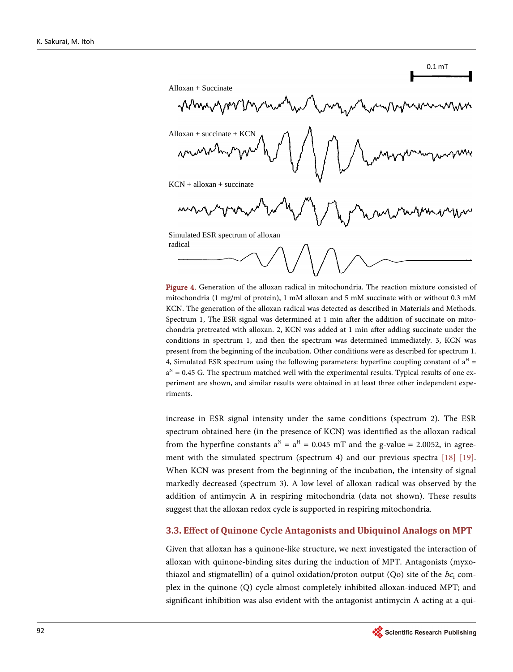<span id="page-5-0"></span>0.1 mT Alloxan + Succinate Why, Alloxan + succinate + KCN $KCN +$  alloxan + succinate Simulated ESR spectrum of alloxan radical

Figure 4. Generation of the alloxan radical in mitochondria. The reaction mixture consisted of mitochondria (1 mg/ml of protein), 1 mM alloxan and 5 mM succinate with or without 0.3 mM KCN. The generation of the alloxan radical was detected as described in Materials and Methods. Spectrum 1, The ESR signal was determined at 1 min after the addition of succinate on mitochondria pretreated with alloxan. 2, KCN was added at 1 min after adding succinate under the conditions in spectrum 1, and then the spectrum was determined immediately. 3, KCN was present from the beginning of the incubation. Other conditions were as described for spectrum 1. 4, Simulated ESR spectrum using the following parameters: hyperfine coupling constant of  $a<sup>H</sup>$  =  $a<sup>N</sup> = 0.45$  G. The spectrum matched well with the experimental results. Typical results of one experiment are shown, and similar results were obtained in at least three other independent experiments.

increase in ESR signal intensity under the same conditions (spectrum 2). The ESR spectrum obtained here (in the presence of KCN) was identified as the alloxan radical from the hyperfine constants  $a^N = a^H = 0.045$  mT and the g-value = 2.0052, in agree-ment with the simulated spectrum (spectrum 4) and our previous spectra [\[18\]](#page-10-0) [19]. When KCN was present from the beginning of the incubation, the intensity of signal markedly decreased (spectrum 3). A low level of alloxan radical was observed by the addition of antimycin A in respiring mitochondria (data not shown). These results suggest that the alloxan redox cycle is supported in respiring mitochondria.

#### **3.3. Effect of Quinone Cycle Antagonists and Ubiquinol Analogs on MPT**

Given that alloxan has a quinone-like structure, we next investigated the interaction of alloxan with quinone-binding sites during the induction of MPT. Antagonists (myxothiazol and stigmatellin) of a quinol oxidation/proton output (Qo) site of the  $bc_1$  complex in the quinone (Q) cycle almost completely inhibited alloxan-induced MPT; and significant inhibition was also evident with the antagonist antimycin A acting at a qui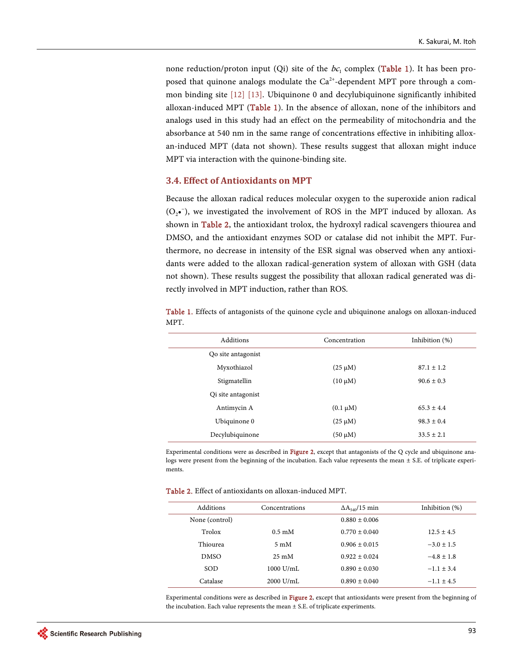none reduction/proton input (Qi) site of the  $bc_1$  complex [\(Table 1\)](#page-6-0). It has been proposed that quinone analogs modulate the  $Ca<sup>2+</sup>$ -dependent MPT pore through a common binding site [\[12\]](#page-9-5) [\[13\].](#page-9-6) Ubiquinone 0 and decylubiquinone significantly inhibited alloxan-induced MPT [\(Table 1\)](#page-6-0). In the absence of alloxan, none of the inhibitors and analogs used in this study had an effect on the permeability of mitochondria and the absorbance at 540 nm in the same range of concentrations effective in inhibiting alloxan-induced MPT (data not shown). These results suggest that alloxan might induce MPT via interaction with the quinone-binding site.

#### **3.4. Effect of Antioxidants on MPT**

Because the alloxan radical reduces molecular oxygen to the superoxide anion radical (O2•<sup>−</sup> ), we investigated the involvement of ROS in the MPT induced by alloxan. As shown in [Table 2,](#page-6-1) the antioxidant trolox, the hydroxyl radical scavengers thiourea and DMSO, and the antioxidant enzymes SOD or catalase did not inhibit the MPT. Furthermore, no decrease in intensity of the ESR signal was observed when any antioxidants were added to the alloxan radical-generation system of alloxan with GSH (data not shown). These results suggest the possibility that alloxan radical generated was directly involved in MPT induction, rather than ROS.

| Additions          | Concentration | Inhibition $(\%)$ |
|--------------------|---------------|-------------------|
| Qo site antagonist |               |                   |
| Myxothiazol        | $(25 \mu M)$  | $87.1 \pm 1.2$    |
| Stigmatellin       | $(10 \mu M)$  | $90.6 \pm 0.3$    |
| Qi site antagonist |               |                   |
| Antimycin A        | $(0.1 \mu M)$ | $65.3 \pm 4.4$    |
| Ubiquinone 0       | $(25 \mu M)$  | $98.3 \pm 0.4$    |
| Decylubiquinone    | (50 μM)       | $33.5 \pm 2.1$    |

<span id="page-6-0"></span>Table 1. Effects of antagonists of the quinone cycle and ubiquinone analogs on alloxan-induced MPT.

Experimental conditions were as described in [Figure 2,](#page-4-0) except that antagonists of the Q cycle and ubiquinone analogs were present from the beginning of the incubation. Each value represents the mean  $\pm$  S.E. of triplicate experiments.

| <b>Table 2.</b> Effect of antioxidants on alloxan-induced MPT. |  |
|----------------------------------------------------------------|--|
|----------------------------------------------------------------|--|

<span id="page-6-1"></span>

| Additions      | Concentrations   | $\Delta A_{540}/15$ min | Inhibition (%) |
|----------------|------------------|-------------------------|----------------|
| None (control) |                  | $0.880 \pm 0.006$       |                |
| Trolox         | $0.5 \text{ mM}$ | $0.770 \pm 0.040$       | $12.5 \pm 4.5$ |
| Thiourea       | $5 \text{ mM}$   | $0.906 \pm 0.015$       | $-3.0 \pm 1.5$ |
| <b>DMSO</b>    | $25 \text{ mM}$  | $0.922 \pm 0.024$       | $-4.8 \pm 1.8$ |
| SOD            | $1000$ U/mL      | $0.890 \pm 0.030$       | $-1.1 \pm 3.4$ |
| Catalase       | $2000$ U/mL      | $0.890 \pm 0.040$       | $-1.1 \pm 4.5$ |

Experimental conditions were as described in [Figure 2,](#page-4-0) except that antioxidants were present from the beginning of the incubation. Each value represents the mean  $\pm$  S.E. of triplicate experiments.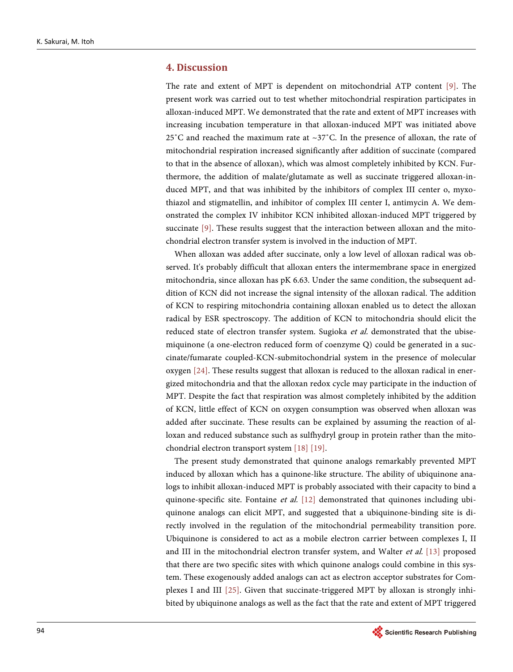## **4. Discussion**

The rate and extent of MPT is dependent on mitochondrial ATP content [\[9\].](#page-9-2) The present work was carried out to test whether mitochondrial respiration participates in alloxan-induced MPT. We demonstrated that the rate and extent of MPT increases with increasing incubation temperature in that alloxan-induced MPT was initiated above 25<sup> $\degree$ </sup>C and reached the maximum rate at  $\sim$ 37 $\degree$ C. In the presence of alloxan, the rate of mitochondrial respiration increased significantly after addition of succinate (compared to that in the absence of alloxan), which was almost completely inhibited by KCN. Furthermore, the addition of malate/glutamate as well as succinate triggered alloxan-induced MPT, and that was inhibited by the inhibitors of complex III center o, myxothiazol and stigmatellin, and inhibitor of complex III center I, antimycin A. We demonstrated the complex IV inhibitor KCN inhibited alloxan-induced MPT triggered by succinate [\[9\].](#page-9-2) These results suggest that the interaction between alloxan and the mitochondrial electron transfer system is involved in the induction of MPT.

When alloxan was added after succinate, only a low level of alloxan radical was observed. It's probably difficult that alloxan enters the intermembrane space in energized mitochondria, since alloxan has pK 6.63. Under the same condition, the subsequent addition of KCN did not increase the signal intensity of the alloxan radical. The addition of KCN to respiring mitochondria containing alloxan enabled us to detect the alloxan radical by ESR spectroscopy. The addition of KCN to mitochondria should elicit the reduced state of electron transfer system. Sugioka et al. demonstrated that the ubisemiquinone (a one-electron reduced form of coenzyme Q) could be generated in a succinate/fumarate coupled-KCN-submitochondrial system in the presence of molecular oxygen [\[24\].](#page-10-6) These results suggest that alloxan is reduced to the alloxan radical in energized mitochondria and that the alloxan redox cycle may participate in the induction of MPT. Despite the fact that respiration was almost completely inhibited by the addition of KCN, little effect of KCN on oxygen consumption was observed when alloxan was added after succinate. These results can be explained by assuming the reaction of alloxan and reduced substance such as sulfhydryl group in protein rather than the mitochondrial electron transport system [\[18\]](#page-10-0) [\[19\].](#page-10-1) 

The present study demonstrated that quinone analogs remarkably prevented MPT induced by alloxan which has a quinone-like structure. The ability of ubiquinone analogs to inhibit alloxan-induced MPT is probably associated with their capacity to bind a quinone-specific site. Fontaine et al.  $[12]$  demonstrated that quinones including ubiquinone analogs can elicit MPT, and suggested that a ubiquinone-binding site is directly involved in the regulation of the mitochondrial permeability transition pore. Ubiquinone is considered to act as a mobile electron carrier between complexes I, II and III in the mitochondrial electron transfer system, and Walter  $et$  al.  $[13]$  proposed that there are two specific sites with which quinone analogs could combine in this system. These exogenously added analogs can act as electron acceptor substrates for Complexes I and III [\[25\].](#page-10-7) Given that succinate-triggered MPT by alloxan is strongly inhibited by ubiquinone analogs as well as the fact that the rate and extent of MPT triggered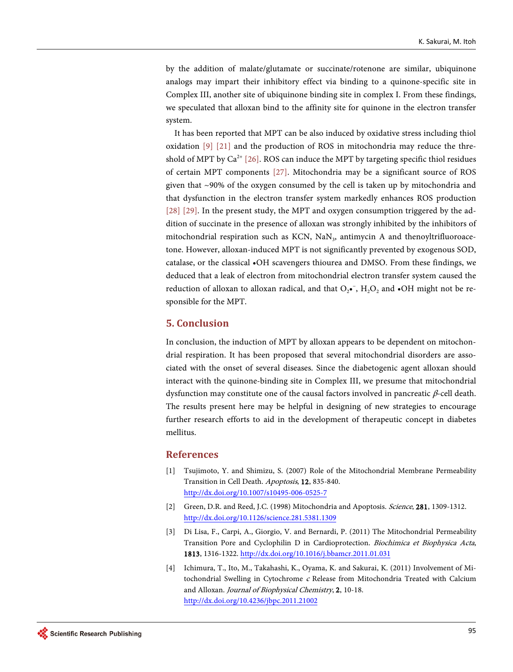by the addition of malate/glutamate or succinate/rotenone are similar, ubiquinone analogs may impart their inhibitory effect via binding to a quinone-specific site in Complex III, another site of ubiquinone binding site in complex I. From these findings, we speculated that alloxan bind to the affinity site for quinone in the electron transfer system.

It has been reported that MPT can be also induced by oxidative stress including thiol oxidation [\[9\]](#page-9-2) [\[21\]](#page-10-3) and the production of ROS in mitochondria may reduce the threshold of MPT by  $Ca^{2+}$  [\[26\].](#page-10-8) ROS can induce the MPT by targeting specific thiol residues of certain MPT components [\[27\].](#page-10-9) Mitochondria may be a significant source of ROS given that ~90% of the oxygen consumed by the cell is taken up by mitochondria and that dysfunction in the electron transfer system markedly enhances ROS production [\[28\]](#page-10-10) [\[29\].](#page-10-11) In the present study, the MPT and oxygen consumption triggered by the addition of succinate in the presence of alloxan was strongly inhibited by the inhibitors of mitochondrial respiration such as  $KCN$ ,  $NaN<sub>3</sub>$ , antimycin A and thenoyltrifluoroacetone. However, alloxan-induced MPT is not significantly prevented by exogenous SOD, catalase, or the classical •OH scavengers thiourea and DMSO. From these findings, we deduced that a leak of electron from mitochondrial electron transfer system caused the reduction of alloxan to alloxan radical, and that  $O_2 \cdot$ ,  $H_2O_2$  and  $\cdot$ OH might not be responsible for the MPT.

## **5. Conclusion**

In conclusion, the induction of MPT by alloxan appears to be dependent on mitochondrial respiration. It has been proposed that several mitochondrial disorders are associated with the onset of several diseases. Since the diabetogenic agent alloxan should interact with the quinone-binding site in Complex III, we presume that mitochondrial dysfunction may constitute one of the causal factors involved in pancreatic β-cell death. The results present here may be helpful in designing of new strategies to encourage further research efforts to aid in the development of therapeutic concept in diabetes mellitus.

#### **References**

- <span id="page-8-0"></span>[1] Tsujimoto, Y. and Shimizu, S. (2007) Role of the Mitochondrial Membrane Permeability Transition in Cell Death. Apoptosis, 12, 835-840. <http://dx.doi.org/10.1007/s10495-006-0525-7>
- [2] Green, D.R. and Reed, J.C. (1998) Mitochondria and Apoptosis. Science, 281, 1309-1312. <http://dx.doi.org/10.1126/science.281.5381.1309>
- <span id="page-8-1"></span>[3] Di Lisa, F., Carpi, A., Giorgio, V. and Bernardi, P. (2011) The Mitochondrial Permeability Transition Pore and Cyclophilin D in Cardioprotection. Biochimica et Biophysica Acta, 1813, 1316-1322. <http://dx.doi.org/10.1016/j.bbamcr.2011.01.031>
- <span id="page-8-2"></span>[4] Ichimura, T., Ito, M., Takahashi, K., Oyama, K. and Sakurai, K. (2011) Involvement of Mitochondrial Swelling in Cytochrome <sup>c</sup> Release from Mitochondria Treated with Calcium and Alloxan. Journal of Biophysical Chemistry, 2, 10-18. <http://dx.doi.org/10.4236/jbpc.2011.21002>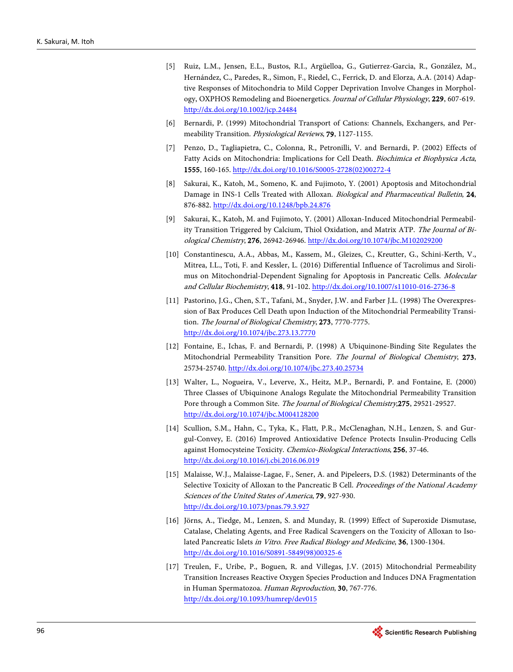- [5] Ruiz, L.M., Jensen, E.L., Bustos, R.I., Argüelloa, G., Gutierrez-Garcia, R., González, M., Hernández, C., Paredes, R., Simon, F., Riedel, C., Ferrick, D. and Elorza, A.A. (2014) Adaptive Responses of Mitochondria to Mild Copper Deprivation Involve Changes in Morphology, OXPHOS Remodeling and Bioenergetics. Journal of Cellular Physiology, 229, 607-619. <http://dx.doi.org/10.1002/jcp.24484>
- [6] Bernardi, P. (1999) Mitochondrial Transport of Cations: Channels, Exchangers, and Permeability Transition. Physiological Reviews, 79, 1127-1155.
- <span id="page-9-0"></span>[7] Penzo, D., Tagliapietra, C., Colonna, R., Petronilli, V. and Bernardi, P. (2002) Effects of Fatty Acids on Mitochondria: Implications for Cell Death. Biochimica et Biophysica Acta, 1555, 160-165[. http://dx.doi.org/10.1016/S0005-2728\(02\)00272-4](http://dx.doi.org/10.1016/S0005-2728(02)00272-4)
- <span id="page-9-1"></span>[8] Sakurai, K., Katoh, M., Someno, K. and Fujimoto, Y. (2001) Apoptosis and Mitochondrial Damage in INS-1 Cells Treated with Alloxan. Biological and Pharmaceutical Bulletin, 24, 876-882. <http://dx.doi.org/10.1248/bpb.24.876>
- <span id="page-9-2"></span>[9] Sakurai, K., Katoh, M. and Fujimoto, Y. (2001) Alloxan-Induced Mitochondrial Permeability Transition Triggered by Calcium, Thiol Oxidation, and Matrix ATP. The Journal of Biological Chemistry, 276, 26942-26946[. http://dx.doi.org/10.1074/jbc.M102029200](http://dx.doi.org/10.1074/jbc.M102029200)
- <span id="page-9-3"></span>[10] Constantinescu, A.A., Abbas, M., Kassem, M., Gleizes, C., Kreutter, G., Schini-Kerth, V., Mitrea, I.L., Toti, F. and Kessler, L. (2016) Differential Influence of Tacrolimus and Sirolimus on Mitochondrial-Dependent Signaling for Apoptosis in Pancreatic Cells. Molecular and Cellular Biochemistry, 418, 91-102[. http://dx.doi.org/10.1007/s11010-016-2736-8](http://dx.doi.org/10.1007/s11010-016-2736-8)
- <span id="page-9-4"></span>[11] Pastorino, J.G., Chen, S.T., Tafani, M., Snyder, J.W. and Farber J.L. (1998) The Overexpression of Bax Produces Cell Death upon Induction of the Mitochondrial Permeability Transition. The Journal of Biological Chemistry, 273, 7770-7775. <http://dx.doi.org/10.1074/jbc.273.13.7770>
- <span id="page-9-5"></span>[12] Fontaine, E., Ichas, F. and Bernardi, P. (1998) A Ubiquinone-Binding Site Regulates the Mitochondrial Permeability Transition Pore. The Journal of Biological Chemistry, 273, 25734-25740.<http://dx.doi.org/10.1074/jbc.273.40.25734>
- <span id="page-9-6"></span>[13] Walter, L., Nogueira, V., Leverve, X., Heitz, M.P., Bernardi, P. and Fontaine, E. (2000) Three Classes of Ubiquinone Analogs Regulate the Mitochondrial Permeability Transition Pore through a Common Site. The Journal of Biological Chemistry,275, 29521-29527. <http://dx.doi.org/10.1074/jbc.M004128200>
- <span id="page-9-7"></span>[14] Scullion, S.M., Hahn, C., Tyka, K., Flatt, P.R., McClenaghan, N.H., Lenzen, S. and Gurgul-Convey, E. (2016) Improved Antioxidative Defence Protects Insulin-Producing Cells against Homocysteine Toxicity. Chemico-Biological Interactions, 256, 37-46. <http://dx.doi.org/10.1016/j.cbi.2016.06.019>
- [15] Malaisse, W.J., Malaisse-Lagae, F., Sener, A. and Pipeleers, D.S. (1982) Determinants of the Selective Toxicity of Alloxan to the Pancreatic B Cell. Proceedings of the National Academy Sciences of the United States of America, 79, 927-930. <http://dx.doi.org/10.1073/pnas.79.3.927>
- <span id="page-9-8"></span>[16] Jörns, A., Tiedge, M., Lenzen, S. and Munday, R. (1999) Effect of Superoxide Dismutase, Catalase, Chelating Agents, and Free Radical Scavengers on the Toxicity of Alloxan to Isolated Pancreatic Islets in Vitro. Free Radical Biology and Medicine, 36, 1300-1304. [http://dx.doi.org/10.1016/S0891-5849\(98\)00325-6](http://dx.doi.org/10.1016/S0891-5849(98)00325-6)
- <span id="page-9-9"></span>[17] Treulen, F., Uribe, P., Boguen, R. and Villegas, J.V. (2015) Mitochondrial Permeability Transition Increases Reactive Oxygen Species Production and Induces DNA Fragmentation in Human Spermatozoa. Human Reproduction, 30, 767-776. <http://dx.doi.org/10.1093/humrep/dev015>

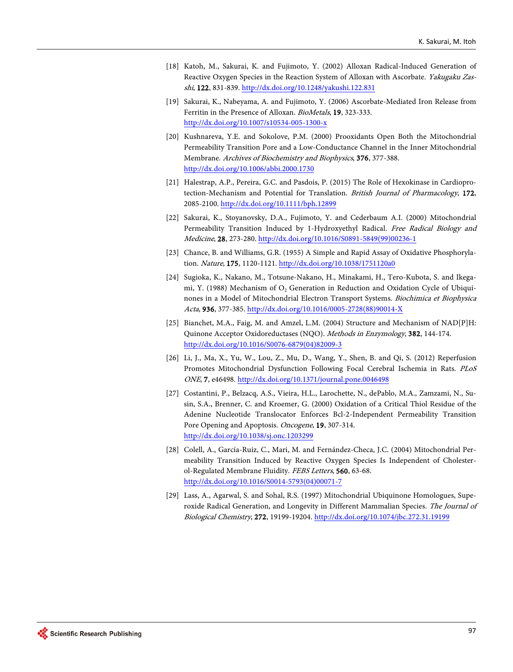- <span id="page-10-0"></span>[18] Katoh, M., Sakurai, K. and Fujimoto, Y. (2002) Alloxan Radical-Induced Generation of Reactive Oxygen Species in the Reaction System of Alloxan with Ascorbate. Yakugaku Zasshi, 122, 831-839[. http://dx.doi.org/10.1248/yakushi.122.831](http://dx.doi.org/10.1248/yakushi.122.831)
- <span id="page-10-1"></span>[19] Sakurai, K., Nabeyama, A. and Fujimoto, Y. (2006) Ascorbate-Mediated Iron Release from Ferritin in the Presence of Alloxan. BioMetals, 19, 323-333. <http://dx.doi.org/10.1007/s10534-005-1300-x>
- <span id="page-10-2"></span>[20] Kushnareva, Y.E. and Sokolove, P.M. (2000) Prooxidants Open Both the Mitochondrial Permeability Transition Pore and a Low-Conductance Channel in the Inner Mitochondrial Membrane. Archives of Biochemistry and Biophysics, 376, 377-388. <http://dx.doi.org/10.1006/abbi.2000.1730>
- <span id="page-10-3"></span>[21] Halestrap, A.P., Pereira, G.C. and Pasdois, P. (2015) The Role of Hexokinase in Cardioprotection-Mechanism and Potential for Translation. British Journal of Pharmacology, 172, 2085-2100[. http://dx.doi.org/10.1111/bph.12899](http://dx.doi.org/10.1111/bph.12899)
- <span id="page-10-4"></span>[22] Sakurai, K., Stoyanovsky, D.A., Fujimoto, Y. and Cederbaum A.I. (2000) Mitochondrial Permeability Transition Induced by 1-Hydroxyethyl Radical. Free Radical Biology and Medicine, 28, 273-280. [http://dx.doi.org/10.1016/S0891-5849\(99\)00236-1](http://dx.doi.org/10.1016/S0891-5849(99)00236-1)
- <span id="page-10-5"></span>[23] Chance, B. and Williams, G.R. (1955) A Simple and Rapid Assay of Oxidative Phosphorylation. Nature, 175, 1120-1121. <http://dx.doi.org/10.1038/1751120a0>
- <span id="page-10-6"></span>[24] Sugioka, K., Nakano, M., Totsune-Nakano, H., Minakami, H., Tero-Kubota, S. and Ikegami, Y. (1988) Mechanism of O<sub>2</sub> Generation in Reduction and Oxidation Cycle of Ubiquinones in a Model of Mitochondrial Electron Transport Systems. Biochimica et Biophysica Acta, 936, 377-385. [http://dx.doi.org/10.1016/0005-2728\(88\)90014-X](http://dx.doi.org/10.1016/0005-2728(88)90014-X)
- <span id="page-10-7"></span>[25] Bianchet, M.A., Faig, M. and Amzel, L.M. (2004) Structure and Mechanism of NAD[P]H: Quinone Acceptor Oxidoreductases (NQO). Methods in Enzymology, 382, 144-174. [http://dx.doi.org/10.1016/S0076-6879\(04\)82009-3](http://dx.doi.org/10.1016/S0076-6879(04)82009-3)
- <span id="page-10-8"></span>[26] Li, J., Ma, X., Yu, W., Lou, Z., Mu, D., Wang, Y., Shen, B. and Qi, S. (2012) Reperfusion Promotes Mitochondrial Dysfunction Following Focal Cerebral Ischemia in Rats. PLoS ONE, 7, e46498[. http://dx.doi.org/10.1371/journal.pone.0046498](http://dx.doi.org/10.1371/journal.pone.0046498)
- <span id="page-10-9"></span>[27] Costantini, P., Belzacq, A.S., Vieira, H.L., Larochette, N., dePablo, M.A., Zamzami, N., Susin, S.A., Brenner, C. and Kroemer, G. (2000) Oxidation of a Critical Thiol Residue of the Adenine Nucleotide Translocator Enforces Bcl-2-Independent Permeability Transition Pore Opening and Apoptosis. Oncogene, 19, 307-314. <http://dx.doi.org/10.1038/sj.onc.1203299>
- <span id="page-10-10"></span>[28] Colell, A., García-Ruiz, C., Mari, M. and Fernández-Checa, J.C. (2004) Mitochondrial Permeability Transition Induced by Reactive Oxygen Species Is Independent of Cholesterol-Regulated Membrane Fluidity. FEBS Letters, 560, 63-68. [http://dx.doi.org/10.1016/S0014-5793\(04\)00071-7](http://dx.doi.org/10.1016/S0014-5793(04)00071-7)
- <span id="page-10-11"></span>[29] Lass, A., Agarwal, S. and Sohal, R.S. (1997) Mitochondrial Ubiquinone Homologues, Superoxide Radical Generation, and Longevity in Different Mammalian Species. The Journal of Biological Chemistry, 272, 19199-19204.<http://dx.doi.org/10.1074/jbc.272.31.19199>